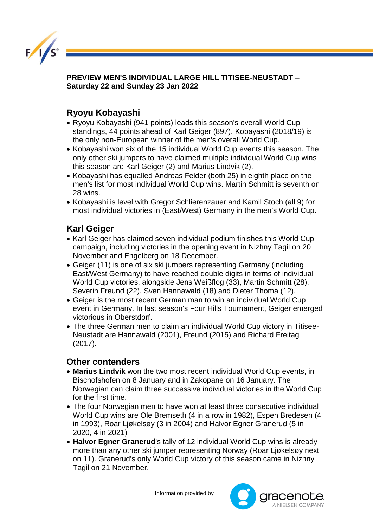

**PREVIEW MEN'S INDIVIDUAL LARGE HILL TITISEE-NEUSTADT – Saturday 22 and Sunday 23 Jan 2022** 

## **Ryoyu Kobayashi**

- Ryoyu Kobayashi (941 points) leads this season's overall World Cup standings, 44 points ahead of Karl Geiger (897). Kobayashi (2018/19) is the only non-European winner of the men's overall World Cup.
- Kobayashi won six of the 15 individual World Cup events this season. The only other ski jumpers to have claimed multiple individual World Cup wins this season are Karl Geiger (2) and Marius Lindvik (2).
- Kobayashi has equalled Andreas Felder (both 25) in eighth place on the men's list for most individual World Cup wins. Martin Schmitt is seventh on 28 wins.
- Kobayashi is level with Gregor Schlierenzauer and Kamil Stoch (all 9) for most individual victories in (East/West) Germany in the men's World Cup.

## **Karl Geiger**

- Karl Geiger has claimed seven individual podium finishes this World Cup campaign, including victories in the opening event in Nizhny Tagil on 20 November and Engelberg on 18 December.
- Geiger (11) is one of six ski jumpers representing Germany (including East/West Germany) to have reached double digits in terms of individual World Cup victories, alongside Jens Weißflog (33), Martin Schmitt (28), Severin Freund (22), Sven Hannawald (18) and Dieter Thoma (12).
- Geiger is the most recent German man to win an individual World Cup event in Germany. In last season's Four Hills Tournament, Geiger emerged victorious in Oberstdorf.
- The three German men to claim an individual World Cup victory in Titisee-Neustadt are Hannawald (2001), Freund (2015) and Richard Freitag (2017).

## **Other contenders**

- **Marius Lindvik** won the two most recent individual World Cup events, in Bischofshofen on 8 January and in Zakopane on 16 January. The Norwegian can claim three successive individual victories in the World Cup for the first time.
- The four Norwegian men to have won at least three consecutive individual World Cup wins are Ole Bremseth (4 in a row in 1982), Espen Bredesen (4 in 1993), Roar Ljøkelsøy (3 in 2004) and Halvor Egner Granerud (5 in 2020, 4 in 2021)
- **Halvor Egner Granerud**'s tally of 12 individual World Cup wins is already more than any other ski jumper representing Norway (Roar Ljøkelsøy next on 11). Granerud's only World Cup victory of this season came in Nizhny Tagil on 21 November.

Information provided by